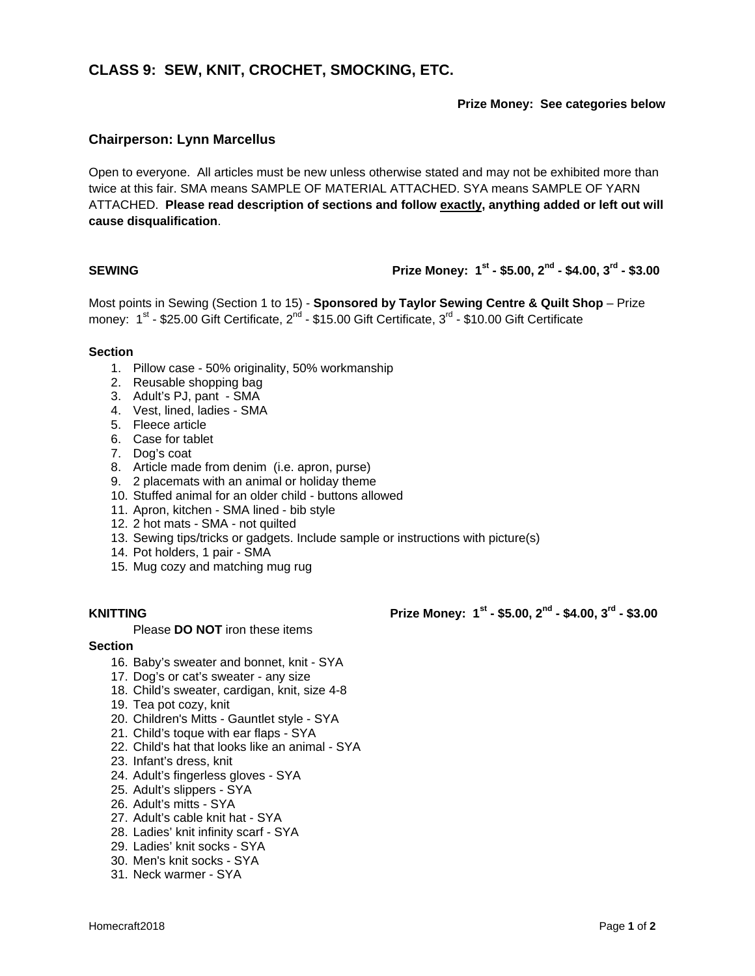# **CLASS 9: SEW, KNIT, CROCHET, SMOCKING, ETC.**

### **Prize Money: See categories below**

# **Chairperson: Lynn Marcellus**

Open to everyone. All articles must be new unless otherwise stated and may not be exhibited more than twice at this fair. SMA means SAMPLE OF MATERIAL ATTACHED. SYA means SAMPLE OF YARN ATTACHED. **Please read description of sections and follow exactly, anything added or left out will cause disqualification**.

## **SEWING** Prize Money:  $1^{st}$  - \$5.00,  $2^{nd}$  - \$4.00,  $3^{rd}$  - \$3.00

Most points in Sewing (Section 1 to 15) - **Sponsored by Taylor Sewing Centre & Quilt Shop** – Prize money: 1<sup>st</sup> - \$25.00 Gift Certificate, 2<sup>nd</sup> - \$15.00 Gift Certificate, 3<sup>rd</sup> - \$10.00 Gift Certificate

### **Section**

- 1. Pillow case 50% originality, 50% workmanship
- 2. Reusable shopping bag
- 3. Adult's PJ, pant SMA
- 4. Vest, lined, ladies SMA
- 5. Fleece article
- 6. Case for tablet
- 7. Dog's coat
- 8. Article made from denim (i.e. apron, purse)
- 9. 2 placemats with an animal or holiday theme
- 10. Stuffed animal for an older child buttons allowed
- 11. Apron, kitchen SMA lined bib style
- 12. 2 hot mats SMA not quilted
- 13. Sewing tips/tricks or gadgets. Include sample or instructions with picture(s)
- 14. Pot holders, 1 pair SMA
- 15. Mug cozy and matching mug rug

Please **DO NOT** iron these items

### **Section**

- 16. Baby's sweater and bonnet, knit SYA
- 17. Dog's or cat's sweater any size
- 18. Child's sweater, cardigan, knit, size 4-8
- 19. Tea pot cozy, knit
- 20. Children's Mitts Gauntlet style SYA
- 21. Child's toque with ear flaps SYA
- 22. Child's hat that looks like an animal SYA
- 23. Infant's dress, knit
- 24. Adult's fingerless gloves SYA
- 25. Adult's slippers SYA
- 26. Adult's mitts SYA
- 27. Adult's cable knit hat SYA
- 28. Ladies' knit infinity scarf SYA
- 29. Ladies' knit socks SYA
- 30. Men's knit socks SYA
- 31. Neck warmer SYA

**KNITTING** Prize Money:  $1^{st}$  - \$5.00,  $2^{nd}$  - \$4.00,  $3^{rd}$  - \$3.00